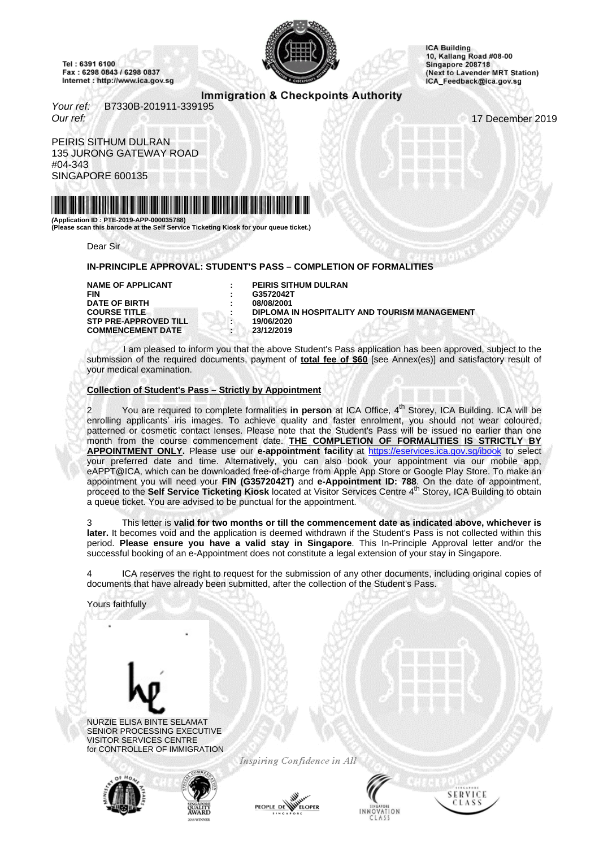<span id="page-0-0"></span>Tel: 6391 6100 Fax: 6298 0843 / 6298 0837 Internet : http://www.ica.gov.sg



**ICA Building** 10, Kallang Road #08-00 Singapore 208718 (Next to Lavender MRT Station) ICA\_Feedback@ica.gov.sg

# Immigration & Checkpoints Authority

Your ref: B7330B-201911-339195 Our ref: 17 December 2019

PEIRIS SITHUM DULRAN 135 JURONG GATEWAY ROAD #04-343 SINGAPORE 600135



**(Application ID : PTE-2019-APP-000035788) (Please scan this barcode at the Self Service Ticketing Kiosk for your queue ticket.)**

Dear Sir

#### **IN-PRINCIPLE APPROVAL: STUDENT'S PASS – COMPLETION OF FORMALITIES**

**DATE OF BIRTH COURSE TITLE STP PRE-APPROVED TILL : 19/06/2020 COMMENCEMENT DATE : 23/12/2019**

**NAME OF APPLICANT : PEIRIS SITHUM DULRAN FIN : G3572042T DIPLOMA IN HOSPITALITY AND TOURISM MANAGEMENT** 

I am pleased to inform you that the above Student's Pass application has been approved, subject to the submission of the required documents, payment of **total fee of \$60** [see Annex(es)] and satisfactory result of your medical examination.

### **Collection of Student's Pass – Strictly by Appointment**

You are required to complete formalities in person at ICA Office, 4<sup>th</sup> Storey, ICA Building. ICA will be enrolling applicants' iris images. To achieve quality and faster enrolment, you should not wear coloured, patterned or cosmetic contact lenses. Please note that the Student's Pass will be issued no earlier than one month from the course commencement date. **THE COMPLETION OF FORMALITIES IS STRICTLY BY APPOINTMENT ONLY.** Please use our **e-appointment facility** at http[s://eservices.ica.gov.sg/ibook](https://eservices.ica.gov.sg/ibook) to select your preferred date and time. Alternatively, you can also book your appointment via our mobile app, eAPPT@ICA, which can be downloaded free-of-charge from Apple App Store or Google Play Store. To make an appointment you will need your FIN (G3572042T) and e-Appointment ID: 788. On the date of appointment,<br>proceed to the Self Service Ticketing Kiosk located at Visitor Services Centre 4<sup>th</sup> Storey, ICA Building to obtain a queue ticket. You are advised to be punctual for the appointment.

3 This letter is **valid for two months or till the commencement date as indicated above, whichever is later.** It becomes void and the application is deemed withdrawn if the Student's Pass is not collected within this period. **Please ensure you have a valid stay in Singapore**. This In-Principle Approval letter and/or the successful booking of an e-Appointment does not constitute a legal extension of your stay in Singapore.

ICA reserves the right to request for the submission of any other documents, including original copies of documents that have already been submitted, after the collection of the Student's Pass.

Yours faithfully



NURZIE ELISA BINTE SELAMAT SENIOR PROCESSING EXECUTIVE VISITOR SERVICES CENTRE for CONTROLLER OF IMMIGRATION



Inspiring Confidence in All



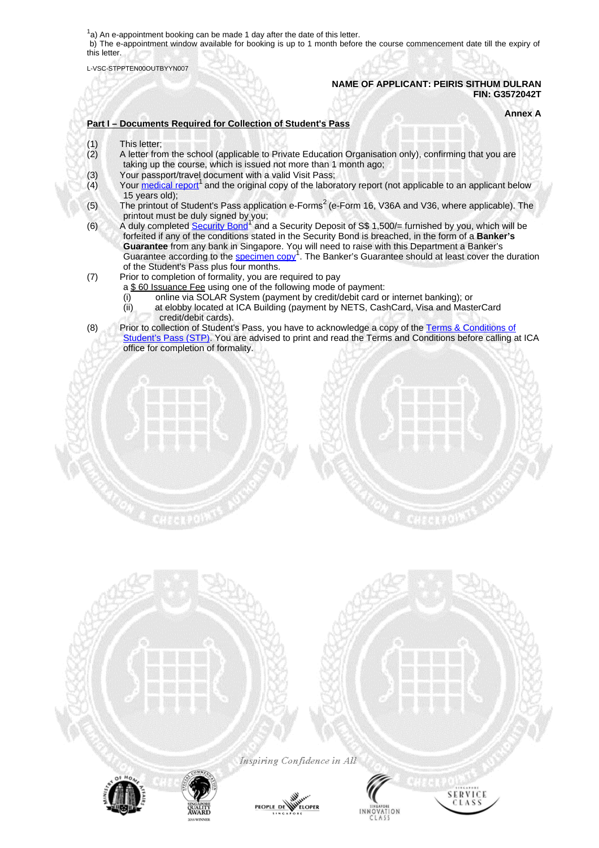$1a$ ) An e-appointment booking can be made 1 day after the date of this letter.

b) The e-appointment window available for booking is up to 1 month before the course commencement date till the expiry of this letter.

L-VSC-STPPTEN00OUTBYYN007

### **NAME OF APPLICANT: PEIRIS SITHUM DULRAN FIN: G3572042T**

**Annex A**

## **Part I – Documents Required for Collection of Student's Pass**

- 
- (1) This letter;<br>(2) A letter from A letter from the school (applicable to Private Education Organisation only), confirming that you are taking up the course, which is issued not more than 1 month ago;
- (3) Your passport/travel document with a valid Visit Pass;<br>(4) Your medical report<sup>1</sup> and the original copy of the labor
- $\overline{a}(4)$  Your [medical](#page-0-0) report<sup>1</sup> and the original copy of the laboratory report (not applicable to an applicant below 15 years old);
- (5) The printout of Student's Pass application e-Forms<sup>2</sup> (e-Form 16, V36A and V36, where applicable). The
- printout must be duly signed by you;<br>(6) A duly completed [Security](#page-0-0) Bond<sup>1</sup> and a Security Deposit of S\$ 1,500/= furnished by you, which will be forfeited if any of the conditions stated in the Security Bond is breached, in the form of a **Banker's Guarantee** from any bank in Singapore. You will need to raise with this Department a Banker's Guarantee according to the **[specimen](#page-0-0) copy<sup>1</sup>**. The Banker's Guarantee should at least cover the duration of the Student's Pass plus four months.
- (7) Prior to completion of formality, you are required to pay
	- a \$60 Issuance Fee using one of the following mode of payment:
		- (i) online via SOLAR System (payment by credit/debit card or internet banking); or
		- (ii) at elobby located at ICA Building (payment by NETS, CashCard, Visa and MasterCard credit/debit cards).
- (8) Prior to collection of Student's Pass, you have to acknowledge a copy of the Terms & [Conditions](#page-0-0) of [Student's](#page-0-0) Pass (STP). You are advised to print and read the Terms and Conditions before calling at ICA office for completion of formality.